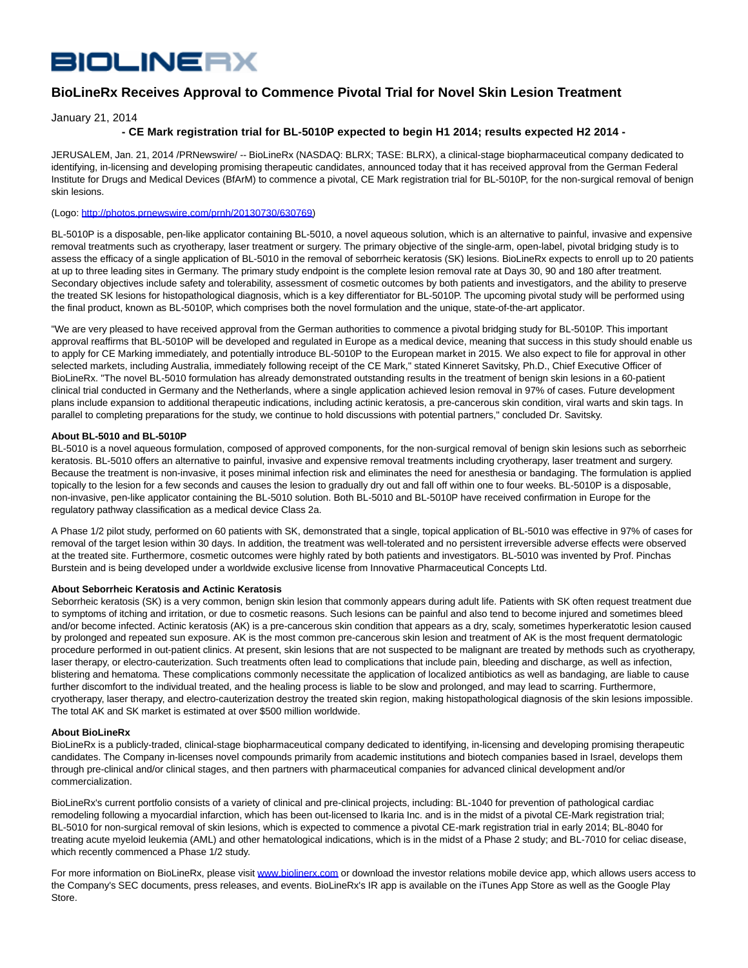# **BIOLINERX**

## **BioLineRx Receives Approval to Commence Pivotal Trial for Novel Skin Lesion Treatment**

January 21, 2014

### **- CE Mark registration trial for BL-5010P expected to begin H1 2014; results expected H2 2014 -**

JERUSALEM, Jan. 21, 2014 /PRNewswire/ -- BioLineRx (NASDAQ: BLRX; TASE: BLRX), a clinical-stage biopharmaceutical company dedicated to identifying, in-licensing and developing promising therapeutic candidates, announced today that it has received approval from the German Federal Institute for Drugs and Medical Devices (BfArM) to commence a pivotal, CE Mark registration trial for BL-5010P, for the non-surgical removal of benign skin lesions.

#### (Logo: [http://photos.prnewswire.com/prnh/20130730/630769\)](http://photos.prnewswire.com/prnh/20130730/630769)

BL-5010P is a disposable, pen-like applicator containing BL-5010, a novel aqueous solution, which is an alternative to painful, invasive and expensive removal treatments such as cryotherapy, laser treatment or surgery. The primary objective of the single-arm, open-label, pivotal bridging study is to assess the efficacy of a single application of BL-5010 in the removal of seborrheic keratosis (SK) lesions. BioLineRx expects to enroll up to 20 patients at up to three leading sites in Germany. The primary study endpoint is the complete lesion removal rate at Days 30, 90 and 180 after treatment. Secondary objectives include safety and tolerability, assessment of cosmetic outcomes by both patients and investigators, and the ability to preserve the treated SK lesions for histopathological diagnosis, which is a key differentiator for BL-5010P. The upcoming pivotal study will be performed using the final product, known as BL-5010P, which comprises both the novel formulation and the unique, state-of-the-art applicator.

"We are very pleased to have received approval from the German authorities to commence a pivotal bridging study for BL-5010P. This important approval reaffirms that BL-5010P will be developed and regulated in Europe as a medical device, meaning that success in this study should enable us to apply for CE Marking immediately, and potentially introduce BL-5010P to the European market in 2015. We also expect to file for approval in other selected markets, including Australia, immediately following receipt of the CE Mark," stated Kinneret Savitsky, Ph.D., Chief Executive Officer of BioLineRx. "The novel BL-5010 formulation has already demonstrated outstanding results in the treatment of benign skin lesions in a 60-patient clinical trial conducted in Germany and the Netherlands, where a single application achieved lesion removal in 97% of cases. Future development plans include expansion to additional therapeutic indications, including actinic keratosis, a pre-cancerous skin condition, viral warts and skin tags. In parallel to completing preparations for the study, we continue to hold discussions with potential partners," concluded Dr. Savitsky.

#### **About BL-5010 and BL-5010P**

BL-5010 is a novel aqueous formulation, composed of approved components, for the non-surgical removal of benign skin lesions such as seborrheic keratosis. BL-5010 offers an alternative to painful, invasive and expensive removal treatments including cryotherapy, laser treatment and surgery. Because the treatment is non-invasive, it poses minimal infection risk and eliminates the need for anesthesia or bandaging. The formulation is applied topically to the lesion for a few seconds and causes the lesion to gradually dry out and fall off within one to four weeks. BL-5010P is a disposable, non-invasive, pen-like applicator containing the BL-5010 solution. Both BL-5010 and BL-5010P have received confirmation in Europe for the regulatory pathway classification as a medical device Class 2a.

A Phase 1/2 pilot study, performed on 60 patients with SK, demonstrated that a single, topical application of BL-5010 was effective in 97% of cases for removal of the target lesion within 30 days. In addition, the treatment was well-tolerated and no persistent irreversible adverse effects were observed at the treated site. Furthermore, cosmetic outcomes were highly rated by both patients and investigators. BL-5010 was invented by Prof. Pinchas Burstein and is being developed under a worldwide exclusive license from Innovative Pharmaceutical Concepts Ltd.

#### **About Seborrheic Keratosis and Actinic Keratosis**

Seborrheic keratosis (SK) is a very common, benign skin lesion that commonly appears during adult life. Patients with SK often request treatment due to symptoms of itching and irritation, or due to cosmetic reasons. Such lesions can be painful and also tend to become injured and sometimes bleed and/or become infected. Actinic keratosis (AK) is a pre-cancerous skin condition that appears as a dry, scaly, sometimes hyperkeratotic lesion caused by prolonged and repeated sun exposure. AK is the most common pre-cancerous skin lesion and treatment of AK is the most frequent dermatologic procedure performed in out-patient clinics. At present, skin lesions that are not suspected to be malignant are treated by methods such as cryotherapy, laser therapy, or electro-cauterization. Such treatments often lead to complications that include pain, bleeding and discharge, as well as infection, blistering and hematoma. These complications commonly necessitate the application of localized antibiotics as well as bandaging, are liable to cause further discomfort to the individual treated, and the healing process is liable to be slow and prolonged, and may lead to scarring. Furthermore, cryotherapy, laser therapy, and electro-cauterization destroy the treated skin region, making histopathological diagnosis of the skin lesions impossible. The total AK and SK market is estimated at over \$500 million worldwide.

#### **About BioLineRx**

BioLineRx is a publicly-traded, clinical-stage biopharmaceutical company dedicated to identifying, in-licensing and developing promising therapeutic candidates. The Company in-licenses novel compounds primarily from academic institutions and biotech companies based in Israel, develops them through pre-clinical and/or clinical stages, and then partners with pharmaceutical companies for advanced clinical development and/or commercialization.

BioLineRx's current portfolio consists of a variety of clinical and pre-clinical projects, including: BL-1040 for prevention of pathological cardiac remodeling following a myocardial infarction, which has been out-licensed to Ikaria Inc. and is in the midst of a pivotal CE-Mark registration trial; BL-5010 for non-surgical removal of skin lesions, which is expected to commence a pivotal CE-mark registration trial in early 2014; BL-8040 for treating acute myeloid leukemia (AML) and other hematological indications, which is in the midst of a Phase 2 study; and BL-7010 for celiac disease, which recently commenced a Phase 1/2 study.

For more information on BioLineRx, please visit [www.biolinerx.com o](http://www.biolinerx.com/)r download the investor relations mobile device app, which allows users access to the Company's SEC documents, press releases, and events. BioLineRx's IR app is available on the iTunes App Store as well as the Google Play Store.